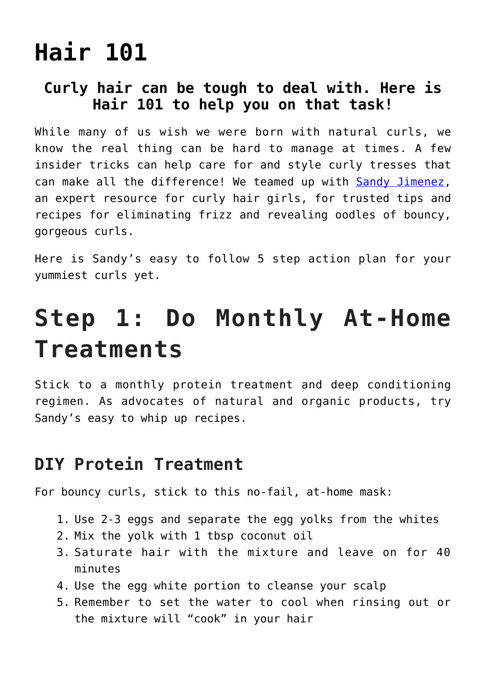# **[Hair 101](https://www.hairnmakeup.info/hair-101/)**

#### **Curly hair can be tough to deal with. Here is Hair 101 to help you on that task!**

While many of us wish we were born with natural curls, we know the real thing can be hard to manage at times. A few insider tricks can help care for and style curly tresses that can make all the difference! We teamed up with [Sandy Jimenez,](http://bashfulbeautyblog.com) an expert resource for curly hair girls, for trusted tips and recipes for eliminating frizz and revealing oodles of bouncy, gorgeous curls.

Here is Sandy's easy to follow 5 step action plan for your yummiest curls yet.

#### **Step 1: Do Monthly At-Home Treatments**

Stick to a monthly protein treatment and deep conditioning regimen. As advocates of natural and organic products, try Sandy's easy to whip up recipes.

#### **DIY Protein Treatment**

For bouncy curls, stick to this no-fail, at-home mask:

- 1. Use 2-3 eggs and separate the egg yolks from the whites
- 2. Mix the yolk with 1 tbsp coconut oil
- 3. Saturate hair with the mixture and leave on for 40 minutes
- 4. Use the egg white portion to cleanse your scalp
- 5. Remember to set the water to cool when rinsing out or the mixture will "cook" in your hair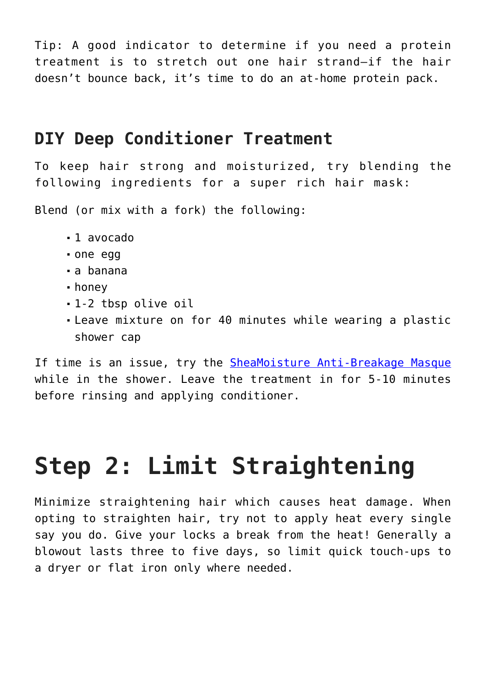Tip: A good indicator to determine if you need a protein treatment is to stretch out one hair strand—if the hair doesn't bounce back, it's time to do an at-home protein pack.

#### **DIY Deep Conditioner Treatment**

To keep hair strong and moisturized, try blending the following ingredients for a super rich hair mask:

Blend (or mix with a fork) the following:

- 1 avocado
- one egg
- a banana
- honey
- 1-2 tbsp olive oil
- Leave mixture on for 40 minutes while wearing a plastic shower cap

If time is an issue, try the [SheaMoisture Anti-Breakage Masque](http://www.drugstore.com/products/prod.asp?pid=414002&catid=183415&aid=338666&aparam=414002&kpid=414002&CAWELAID=120142990000022099&CAGPSPN=pla&kpid=414002) while in the shower. Leave the treatment in for 5-10 minutes before rinsing and applying conditioner.

# **Step 2: Limit Straightening**

Minimize straightening hair which causes heat damage. When opting to straighten hair, try not to apply heat every single say you do. Give your locks a break from the heat! Generally a blowout lasts three to five days, so limit quick touch-ups to a dryer or flat iron only where needed.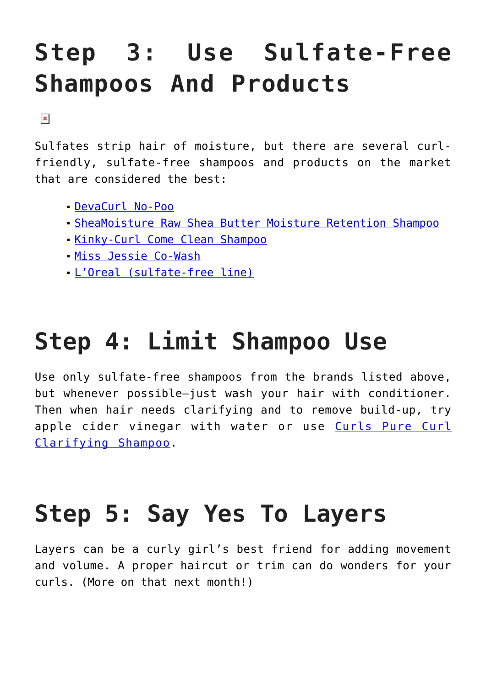#### **Step 3: Use Sulfate-Free Shampoos And Products**

 $\pmb{\times}$ 

Sulfates strip hair of moisture, but there are several curlfriendly, sulfate-free shampoos and products on the market that are considered the best:

- [DevaCurl No-Poo](http://www.sephora.com/no-poo-P378324)
- [SheaMoisture Raw Shea Butter Moisture Retention Shampoo](http://www.sheamoisture.com/Raw-Shea-Butter-Moisture-Retention-Shampoo_p_799.html)
- **[Kinky-Curl Come Clean Shampoo](http://www.amazon.com/Kinky-Curly-Natural-Moisturizing-Shampoo/dp/B0012EF9NQ)**
- [Miss Jessi](http://missjessies.com/shop/cleansers)[e Co-Wash](http://missjessies.com/Co-Wash_2#.VPZdub-rjdk)
- [L'Oreal \(sulfate-free line\)](http://www.lorealparisusa.com/en/beauty-library/articles/sulfate-free-hair-care.aspx)

# **Step 4: Limit Shampoo Use**

Use only sulfate-free shampoos from the brands listed above, but whenever possible—just wash your hair with conditioner. Then when hair needs clarifying and to remove build-up, try apple cider vinegar with water or use [Curls Pure Curl](http://www.ariva.com/cupucuclsh.html?cmp=googleproducts&kw=cupucuclsh&gclid=Cj0KEQiA1NWnBRDchObfnYrbo78BEiQA-2jqBdJYZ9XW3Ys2obFbd_DAVoPPZ3EM24mLP6rSQGExR7gaAjyW8P8HAQ) [Clarifying Shampoo.](http://www.ariva.com/cupucuclsh.html?cmp=googleproducts&kw=cupucuclsh&gclid=Cj0KEQiA1NWnBRDchObfnYrbo78BEiQA-2jqBdJYZ9XW3Ys2obFbd_DAVoPPZ3EM24mLP6rSQGExR7gaAjyW8P8HAQ)

# **Step 5: Say Yes To Layers**

Layers can be a curly girl's best friend for adding movement and volume. A proper haircut or trim can do wonders for your curls. (More on that next month!)